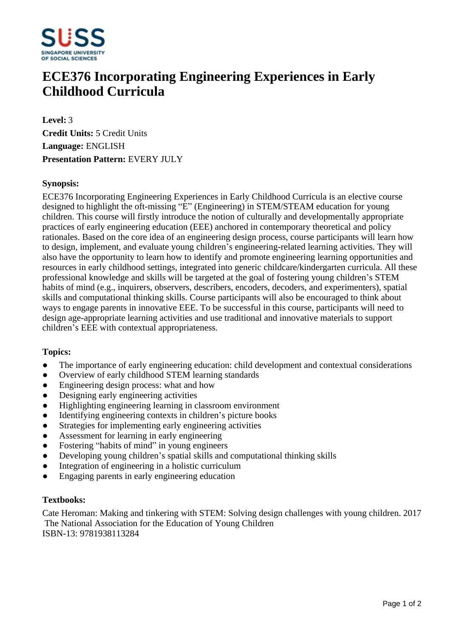

# **ECE376 Incorporating Engineering Experiences in Early Childhood Curricula**

**Level:** 3 **Credit Units:** 5 Credit Units **Language:** ENGLISH **Presentation Pattern:** EVERY JULY

### **Synopsis:**

ECE376 Incorporating Engineering Experiences in Early Childhood Curricula is an elective course designed to highlight the oft-missing "E" (Engineering) in STEM/STEAM education for young children. This course will firstly introduce the notion of culturally and developmentally appropriate practices of early engineering education (EEE) anchored in contemporary theoretical and policy rationales. Based on the core idea of an engineering design process, course participants will learn how to design, implement, and evaluate young children's engineering-related learning activities. They will also have the opportunity to learn how to identify and promote engineering learning opportunities and resources in early childhood settings, integrated into generic childcare/kindergarten curricula. All these professional knowledge and skills will be targeted at the goal of fostering young children's STEM habits of mind (e.g., inquirers, observers, describers, encoders, decoders, and experimenters), spatial skills and computational thinking skills. Course participants will also be encouraged to think about ways to engage parents in innovative EEE. To be successful in this course, participants will need to design age-appropriate learning activities and use traditional and innovative materials to support children's EEE with contextual appropriateness.

#### **Topics:**

- The importance of early engineering education: child development and contextual considerations
- Overview of early childhood STEM learning standards
- Engineering design process: what and how
- Designing early engineering activities
- Highlighting engineering learning in classroom environment
- Identifying engineering contexts in children's picture books
- Strategies for implementing early engineering activities
- Assessment for learning in early engineering
- Fostering "habits of mind" in young engineers
- Developing young children's spatial skills and computational thinking skills
- Integration of engineering in a holistic curriculum
- Engaging parents in early engineering education

#### **Textbooks:**

Cate Heroman: Making and tinkering with STEM: Solving design challenges with young children. 2017 The National Association for the Education of Young Children ISBN-13: 9781938113284